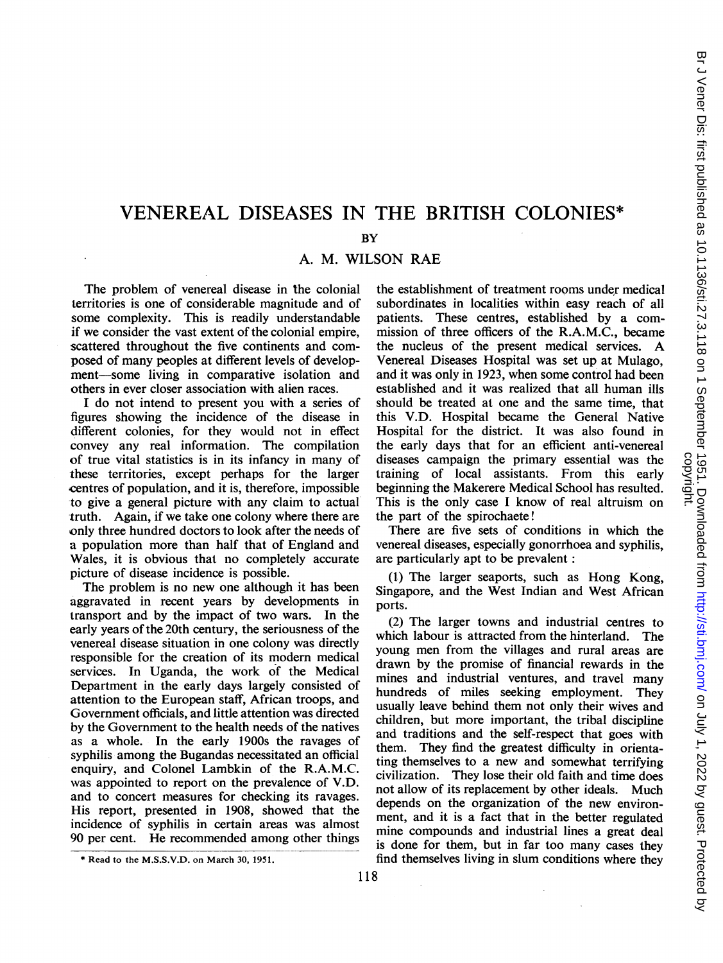# VENEREAL DISEASES IN THE BRITISH COLONIES\*

BY

A. M. WILSON RAE

The problem of venereal disease in the colonial territories is one of considerable magnitude and of some complexity. This is readily understandable if we consider the vast extent of the colonial empire, scattered throughout the five continents and composed of many peoples at different levels of development-some living in comparative isolation and others in ever closer association with alien races.

<sup>I</sup> do not intend to present you with a series of figures showing the incidence of the disease in different colonies, for they would not in effect convey any real information. The compilation of true vital statistics is in its infancy in many of these territories, except perhaps for the larger centres of population, and it is, therefore, impossible -to give a general picture with any claim to actual truth. Again, if we take one colony where there are only three hundred doctors to look after the needs of a population more than half that of England and Wales, it is obvious that no completely accurate picture of disease incidence is possible.

The problem is no new one although it has been aggravated in recent years by developments in transport and by the impact of two wars. In the early years of the 20th century, the seriousness of the venereal disease situation in one colony was directly responsible for the creation of its modem medical services. In Uganda, the work of the Medical Department in the early days largely consisted of attention to the European staff, African troops, and Government officials, and little attention was directed by the Government to the health needs of the natives as a whole. In the early 1900s the ravages of syphilis among the Bugandas necessitated an official enquiry, and Colonel Lambkin of the R.A.M.C. was appointed to report on the prevalence of V.D. and to concert measures for checking its ravages. His report, presented in 1908, showed that the incidence of syphilis in certain areas was almost 90 per cent. He recommended among other things the establishment of treatment rooms under medical subordinates in localities within easy reach of all patients. These centres, established by a commission of three officers of the R.A.M.C., became the nucleus of the present medical services. A Venereal Diseases Hospital was set up at Mulago, and it was only in 1923, when some control had been established and it was realized that all human ills should be treated at one and the same time, that this V.D. Hospital became the General Native Hospital for the district. It was also found in the early days that for an efficient anti-venereal diseases campaign the primary essential was the training of local assistants. From this early beginning the Makerere Medical School has resulted. This is the only case <sup>I</sup> know of real altruism on the part of the spirochaete!

There are five sets of conditions in which the venereal diseases, especially gonorrhoea and syphilis, are particularly apt to be prevalent:

(1) The larger seaports, such as Hong Kong, Singapore, and the West Indian and West African ports.

(2) The larger towns and industrial centres to which labour is attracted from the hinterland. The young men from the villages and rural areas are drawn by the promise of financial rewards in the mines and industrial ventures, and travel many hundreds of miles seeking employment. They usually leave behind them not only their wives and children, but more important, the tribal discipline and traditions and the self-respect that goes with them. They find the greatest difficulty in orientating themselves to a new and somewhat terrifying civilization. They lose their old faith and time does not allow of its replacement by other ideals. Much depends on the organization of the new environment, and it is a fact that in the better regulated mine compounds and industrial lines a great deal is done for them, but in far too many cases they find themselves living in slum conditions where they

<sup>\*</sup> Read to the M.S.S.V.D. on March 30, 1951.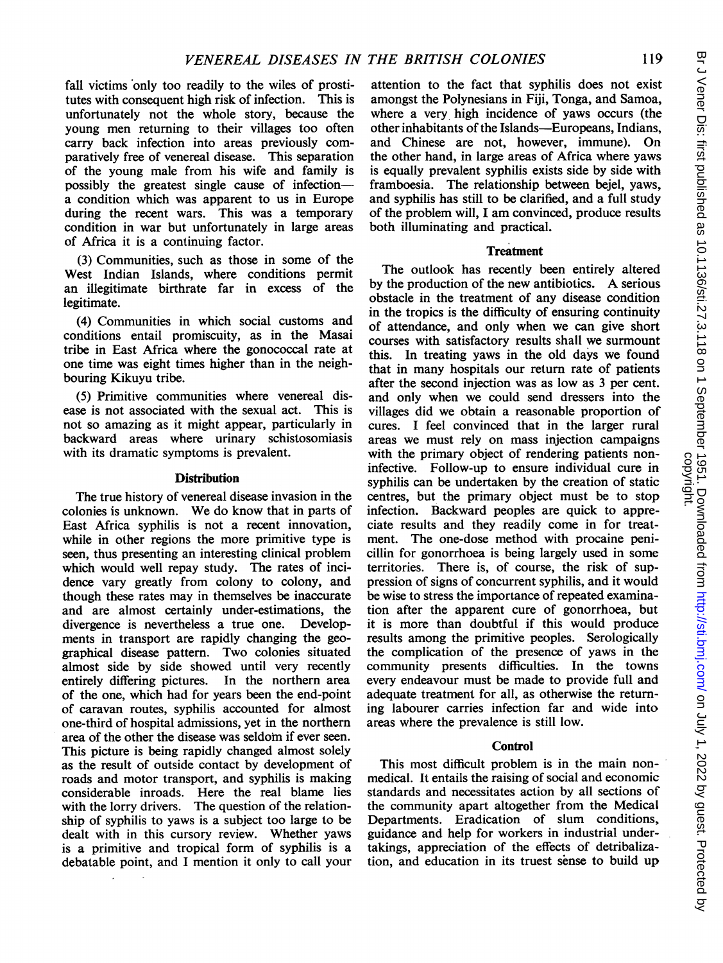fall victims only too readily to the wiles of prostitutes with consequent high risk of infection. This is unfortunately not the whole story, because the young men returning to their villages too often carry back infection into areas previously comparatively free of venereal disease. This separation of the young male from his wife and family is possibly the greatest single cause of infectiona condition which was apparent to us in Europe during the recent wars. This was a temporary condition in war but unfortunately in large areas of Africa it is a continuing factor.

(3) Communities, such as those in some of the West Indian Islands, where conditions permit an illegitimate birthrate far in excess of the legitimate.

(4) Communities in which social customs and conditions entail promiscuity, as in the Masai tribe in East Africa where the gonococcal rate at one time was eight times higher than in the neighbouring Kikuyu tribe.

(5) Primitive communities where venereal disease is not associated with the sexual act. This is not so amazing as it might appear, particularly in backward areas where urinary schistosomiasis with its dramatic symptoms is prevalent.

## **Distribution**

The true history of venereal disease invasion in the colonies is unknown. We do know that in parts of East Africa syphilis is not a recent innovation, while in other regions the more primitive type is seen, thus presenting an interesting clinical problem which would well repay study. The rates of incidence vary greatly from colony to colony, and though these rates may in themselves be inaccurate and are almost certainly under-estimations, the divergence is nevertheless a true one. Developdivergence is nevertheless a true one. ments in transport are rapidly changing the geographical disease pattern. Two colonies situated almost side by side showed until very recently entirely differing pictures. In the northern area of the one, which had for years been the end-point of caravan routes, syphilis accounted for almost one-third of hospital admissions, yet in the northern area of the other the disease was seldom if ever seen. This picture is being rapidly changed almost solely as the result of outside contact by development of roads and motor transport, and syphilis is making considerable inroads. Here the real blame lies with the lorry drivers. The question of the relationship of syphilis to yaws is a subject too large to be dealt with in this cursory review. Whether yaws is a primitive and tropical form of syphilis is a debatable point, and <sup>I</sup> mention it only to call your

attention to the fact that syphilis does not exist amongst the Polynesians in Fiji, Tonga, and Samoa, where a very high incidence of yaws occurs (the other inhabitants of the Islands-Europeans, Indians, and Chinese are not, however, immune). On the other hand, in large areas of Africa where yaws is equally prevalent syphilis exists side by side with framboesia. The relationship between bejel, yaws, and syphilis has still to be clarified, and a full study of the problem will, <sup>I</sup> am convinced, produce results both illuminating and practical.

## **Treatment**

The outlook has recently been entirely altered by the production of the new antibiotics. A serious obstacle in the treatment of any disease condition in the tropics is the difficulty of ensuring continuity of attendance, and only when we can give short courses with satisfactory results shall we surmount this. In treating yaws in the old days we found that in many hospitals our return rate of patients after the second injection was as low as 3 per cent. and only when we could send dressers into the villages did we obtain a reasonable proportion of cures. I feel convinced that in the larger rural areas we must rely on mass injection campaigns with the primary object of rendering patients noninfective. Follow-up to ensure individual cure in syphilis can be undertaken by the creation of static centres, but the primary object must be to stop infection. Backward peoples are quick to appreciate results and they readily come in for treatment. The one-dose method with procaine penicillin for gonorrhoea is being largely used in some territories. There is, of course, the risk of suppression of signs of concurrent syphilis, and it would be wise to stress the importance of repeated examination after the apparent cure of gonorrhoea, but it is more than doubtful if this would produce results among the primitive peoples. Serologically the complication of the presence of yaws in the community presents difficulties. In the towns every endeavour must be made to provide full and adequate treatment for all, as otherwise the returning labourer carries infection far and wide into areas where the prevalence is still low.

## Control

This most difficult problem is in the main nonmedical. It entails the raising of social and economic standards and necessitates action by all sections of the community apart altogether from the Medical Departments. Eradication of slum conditions, guidance and help for workers in industrial undertakings, appreciation of the effects of detribalization, and education in its truest sense to build up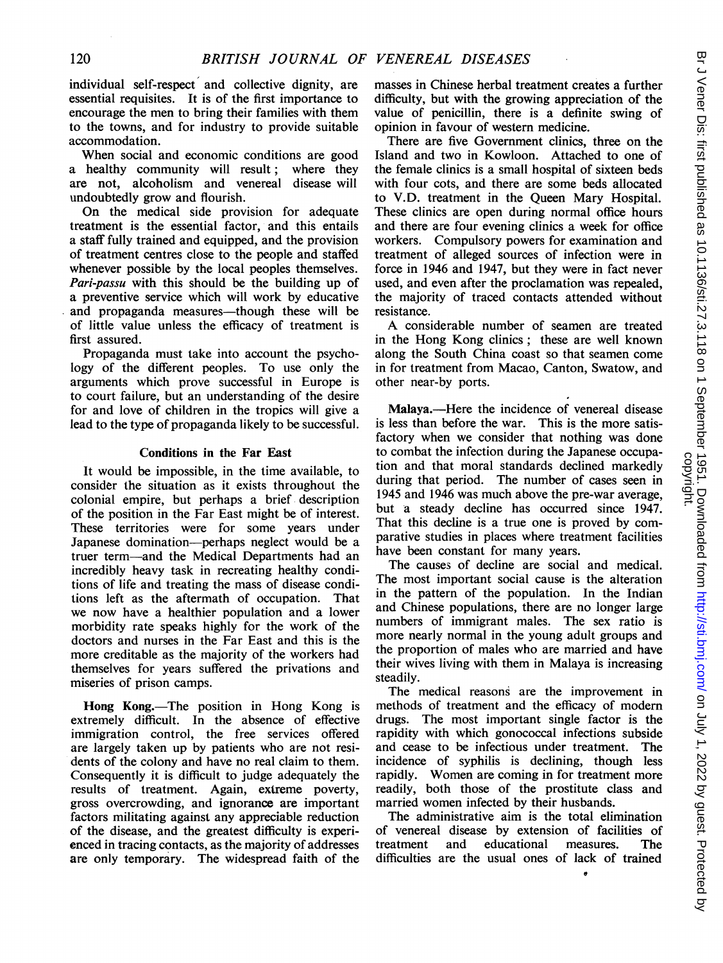individual self-respect and collective dignity, are essential requisites. It is of the first importance to encourage the men to bring their families with them to the towns, and for industry to provide suitable accommodation.

When social and economic conditions are good a healthy community will result; where they are not, alcoholism and venereal disease will undoubtedly grow and flourish.

On the medical side provision for adequate treatment is the essential factor, and this entails a staff fully trained and equipped, and the provision of treatment centres close to the people and staffed whenever possible by the local peoples themselves. Pari-passu with this should be the building up of a preventive service which will work by educative and propaganda measures—though these will be of little value unless the efficacy of treatment is first assured.

Propaganda must take into account the psychology of the different peoples. To use only the arguments which prove successful in Europe is to court failure, but an understanding of the desire for and love of children in the tropics will give a lead to the type of propaganda likely to be successful.

### Conditions in the Far East

It would be impossible, in the time available, to consider the situation as it exists throughout the colonial empire, but perhaps a brief description of the position in the Far East might be of interest. These territories were for some years under Japanese domination-perhaps neglect would be a truer term-and the Medical Departments had an incredibly heavy task in recreating healthy conditions of life and treating the mass of disease conditions left as the aftermath of occupation. That we now have a healthier population and a lower morbidity rate speaks highly for the work of the doctors and nurses in the Far East and this is the more creditable as the majority of the workers had themselves for years suffered the privations and miseries of prison camps.

Hong Kong.-The position in Hong Kong is extremely difficult. In the absence of effective immigration control, the free services offered are largely taken up by patients who are not residents of the colony and have no real claim to them. Consequently it is difficult to judge adequately the results of treatment. Again, extreme poverty, gross overcrowding, and ignorance are important factors militating against any appreciable reduction of the disease, and the greatest difficulty is experienced in tracing contacts, as the majority of addresses are only temporary. The widespread faith of the

masses in Chinese herbal treatment creates a further difficulty, but with the growing appreciation of the value of penicillin, there is a definite swing of opinion in favour of western medicine.

There are five Government clinics, three on the Island and two in Kowloon. Attached to one of the female clinics is a small hospital of sixteen beds with four cots, and there are some beds allocated to V.D. treatment in the Queen Mary Hospital. These clinics are open during normal office hours and there are four evening clinics a week for office workers. Compulsory powers for examination and treatment of alleged sources of infection were in force in 1946 and 1947, but they were in fact never used, and even after the proclamation was repealed, the majority of traced contacts attended without resistance.

A considerable number of seamen are treated in the Hong Kong clinics; these are well known along the South China coast so that seamen come in for treatment from Macao, Canton, Swatow, and other near-by ports.

Malaya.—Here the incidence of venereal disease is less than before the war. This is the more satisfactory when we consider that nothing was done to combat the infection during the Japanese occupation and that moral standards declined markedly during that period. The number of cases seen in 1945 and 1946 was much above the pre-war average, but a steady decline has occurred since 1947. That this decline is a true one is proved by comparative studies in places where treatment facilities have been constant for many years.

The causes of decline are social and medical. The most important social cause is the alteration in the pattern of the population. In the Indian and Chinese populations, there are no longer large numbers of immigrant males. The sex ratio is more nearly normal in the young adult groups and the proportion of males who are married and have their wives living with them in Malaya is increasing steadily.

The medical reasons are the improvement in methods of treatment and the efficacy of modern drugs. The most important single factor is the rapidity with which gonococcal infections subside and cease to be infectious under treatment. The incidence of syphilis is declining, though less rapidly. Women are coming in for treatment more readily, both those of the prostitute class and married women infected by their husbands.

The administrative aim is the total elimination of venereal disease by extension of facilities of treatment and educational measures. The difficulties are the usual ones of lack of trained